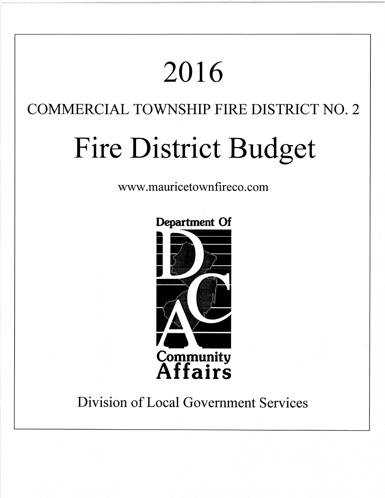# 2016

# COMMERCIAL TOWNSHIP FIRE DISTRICT NO. 2

# Fire District Budget

www.mauricetownfireco.com



# **Division of Local Government Services**

## **Department Of**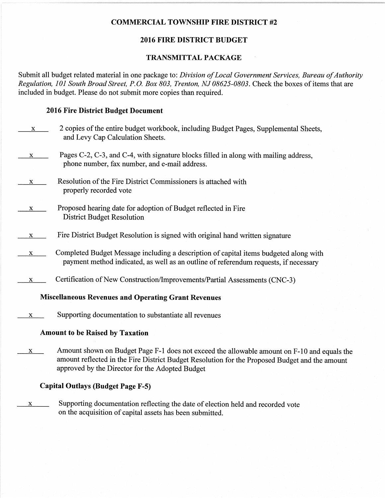### COMMERCIAL TOWNSHIP FIRE DISTRICT #2

## 2016 FIRE DISTRICT BUDGET

#### TRANSMITTAL PACKAGE

Submit all budget related material in one package to: Division of Local Government Services, Bureau of Authority Regulation, I0l South Broad Street, P.O. Box 803, Trenton, NJ 08625-0803. Check the boxes of items that are included in budget. Please do not submit more copies than required.

#### 2016 Fire District Budget Document

| X.                                                         | 2 copies of the entire budget workbook, including Budget Pages, Supplemental Sheets,<br>and Levy Cap Calculation Sheets.                                                      |  |  |
|------------------------------------------------------------|-------------------------------------------------------------------------------------------------------------------------------------------------------------------------------|--|--|
| $\mathbf{x}$                                               | Pages C-2, C-3, and C-4, with signature blocks filled in along with mailing address,<br>phone number, fax number, and e-mail address.                                         |  |  |
| X.                                                         | Resolution of the Fire District Commissioners is attached with<br>properly recorded vote                                                                                      |  |  |
| X                                                          | Proposed hearing date for adoption of Budget reflected in Fire<br><b>District Budget Resolution</b>                                                                           |  |  |
| X                                                          | Fire District Budget Resolution is signed with original hand written signature                                                                                                |  |  |
| X                                                          | Completed Budget Message including a description of capital items budgeted along with<br>payment method indicated, as well as an outline of referendum requests, if necessary |  |  |
| x                                                          | Certification of New Construction/Improvements/Partial Assessments (CNC-3)                                                                                                    |  |  |
| <b>Miscellaneous Revenues and Operating Grant Revenues</b> |                                                                                                                                                                               |  |  |
| x                                                          | Supporting documentation to substantiate all revenues                                                                                                                         |  |  |
| <b>Amount to be Raised by Taxation</b>                     |                                                                                                                                                                               |  |  |
|                                                            | $\mathbf{r}$ 1 $\mathbf{r}$                                                                                                                                                   |  |  |

 $x$  Amount shown on Budget Page F-1 does not exceed the allowable amount on F-10 and equals the amount reflected in the Fire District Budget Resolution for the Proposed Budget and the amount approved by the Director for the Adopted Budget

### Capital Outlays (Budget Page F-5)

 $x$  Supporting documentation reflecting the date of election held and recorded vote on the acquisition of capital assets has been submitted.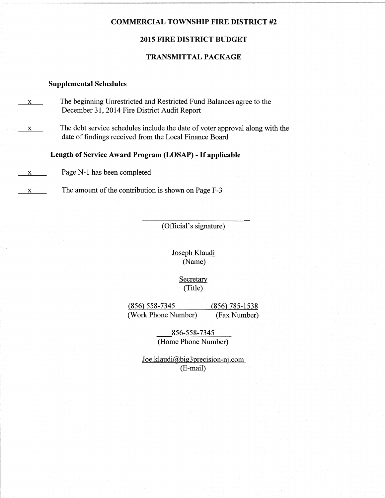#### COMMERCIAL TOWNSHIP FIRE DISTRICT #2

#### 2015 FIRE DISTRICT BUDGET

#### TRANSMITTAL PACKAGE

#### Supplemental Schedules

- $\mathbf{x}$  The beginning Unrestricted and Restricted Fund Balances agree to the December 3I,2014 Fire District Audit Report
- $x = x$  The debt service schedules include the date of voter approval along with the date of findings received from the Local Finance Board

Length of Service Award Program (LOSAP) - If applicable

x Page N-l has been completed

 $x \rightarrow x$  The amount of the contribution is shown on Page F-3

(Official's signature)

Joseph Klaudi (Name)

> **Secretary** (Title)

(856) 558-7345 (85ô 785-1538 (Work Phone Number) (Fax Number)

> 856-558-7345 \_ (Home Phone Number)

Joe.klaudi@big3precision-nj.com (E-mail)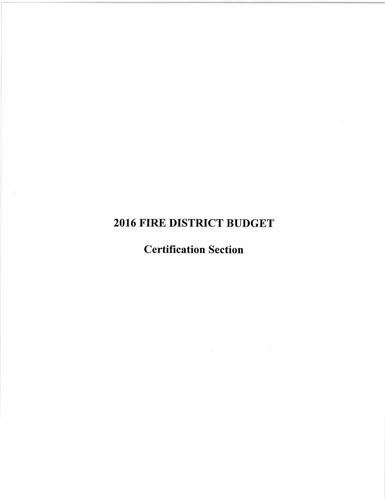## 2016 FIRE DISTRICT BUDGET

## Certification Section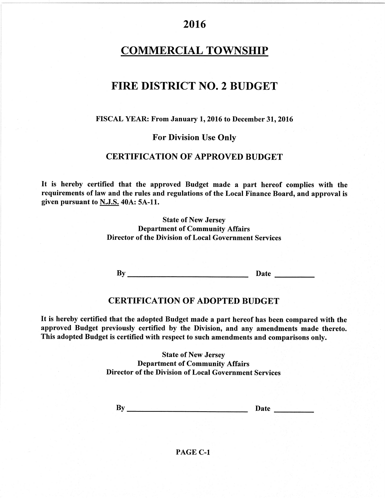## **COMMERCIAL TOWNSHIP**

## FIRE DISTRICT NO. 2 BUDGET

#### FISCAL YEAR: From January 1, 2016 to December 31, 2016

#### **For Division Use Only**

## **CERTIFICATION OF APPROVED BUDGET**

It is hereby certified that the approved Budget made a part hereof complies with the requirements of law and the rules and regulations of the Local Finance Board, and approval is given pursuant to N.J.S. 40A: 5A-11.

> **State of New Jersey Department of Community Affairs Director of the Division of Local Government Services**

### **CERTIFICATION OF ADOPTED BUDGET**

It is hereby certified that the adopted Budget made a part hereof has been compared with the approved Budget previously certified by the Division, and any amendments made thereto. This adopted Budget is certified with respect to such amendments and comparisons only.

> **State of New Jersey Department of Community Affairs** Director of the Division of Local Government Services

 $By$  Date Date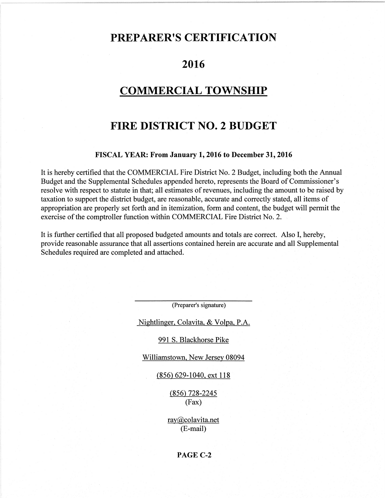## PREPARER'S CERTIFICATION

## 2016

## **COMMERCIAL TOWNSHIP**

## FIRE DISTRICT NO.2 BUDGET

#### FISCAL YEAR: From January 1, 2016 to December 31, 2016

It is hereby certified that the COMMERCIAL Fire District No. 2 Budget, including both the Annual Budget and the Supplemental Schedules appended hereto, represents the Board of Commissioner's resolve with respect to statute in that; all estimates of revenues, including the amount to be raised by taxation to support the district budget, are reasonable, accurate and correctly stated, all items of appropriation are properly set forth and in itemization, form and content, the budget will permit the exercise of the comptroller function within COMMERCIAL Fire District No. 2.

It is further certified that all proposed budgeted amounts and totals are correct. Also I, hereby, provide reasonable assurance that all assertions contained herein are accurate and all Supplemental Schedules required are completed and attached.

(Preparer's signature)

Nightlineer. Colavita. & Volpa. P.A.

991 S. Blackhorse Pike

Williamstown, New Jersey 08094

(856) 629-1040. ext I l8

 $(856)$  728-2245 (Fax)

ray@colavita.net (E-mail)

#### PAGE C.2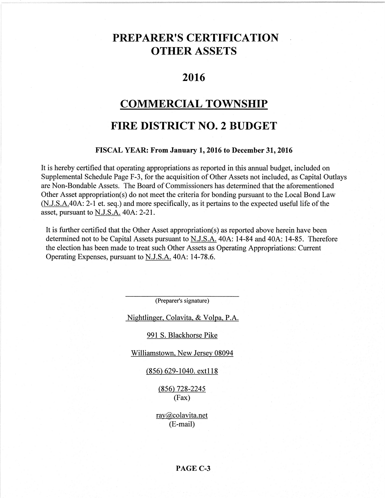## PREPARER'S CERTIFICATION OTHER ASSETS

## 2016

## COMMERCTAL TOWNSHIP

## FIRE DISTRICT NO.2 BUDGET

#### FISCAL YEAR: From January 1, 2016 to December 31, 2016

It is hereby certified that operating appropriations as reported in this annual budget, included on Supplemental Schedule Page F-3, for the acquisition of Other Assets not included, as Capital Outlays are Non-Bondable Assets. The Board of Commissioners has determined that the aforementioned Other Asset appropriation(s) do not meet the criteria for bonding pursuant to the Local Bond Law (N.J.S.A.40A: 2-1 et. seq.) and more specifically, as it pertains to the expected useful life of the asset, pursuant to N.J.S.A. 40A: 2-21.

It is further certified that the Other Asset appropriation(s) as reported above herein have been determined not to be Capital Assets pursuant to N.J.S.A. 40A: 14-84 and 40A: 14-85. Therefore the election has been made to treat such Other Assets as Operating Appropriations: Current Operating Expenses, pursuant to N.J.S.A. 40A: 14-78.6.

(Preparer's signature)

Nightlinger, Colavita, & Volpa, P.A.

#### 991 S. Blackhorse Pike

Williamstown. New Jersey 08094

(85ô 629-1040. extl <sup>18</sup>

 $(856)$  728-2245 (Fax)

ray@colavita.net (E-mail)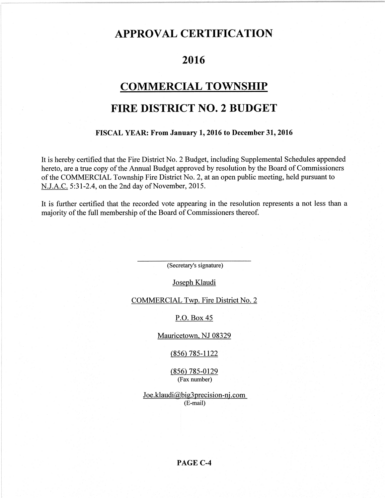## APPROVAL CERTIFICATION

## 2016

## COMMERCIAL TOWNSHIP

## FIRE DISTRICT NO.2 BUDGET

#### FISCAL YEAR: From January 1,2016 to December3l,2016

It is hereby certified that the Fire District No. 2 Budget, including Supplemental Schedules appended hereto, are a true copy of the Annual Budget approved by resolution by the Board of Commissioners of the COMMERCIAL Township Fire District No. 2, at an open public meeting, held pursuant to N.J.A.C. 5:31-2.4, on the 2nd day of November, 2015.

It is further certified that the recorded vote appearing in the resolution represents a not less than <sup>a</sup> majority of the full membership of the Board of Commissioners thereof.

(Secretary's signature)

Joseph Klaudi

COMMERCIAL Twp. Fire District No. 2

P.O. Box 45

Mauricetown. NJ 08329

(8s6)78s-1122

(8s6) 78s-0129 (Fax number)

Joe.klaudi@big3precision-nj.com (E-mail)